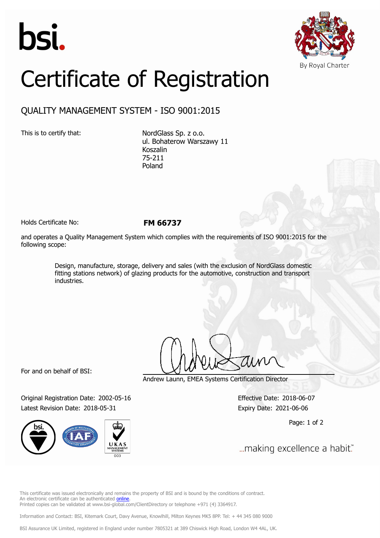



## Certificate of Registration

## QUALITY MANAGEMENT SYSTEM - ISO 9001:2015

This is to certify that: NordGlass Sp. z o.o. ul. Bohaterow Warszawy 11 Koszalin 75-211 Poland

Holds Certificate No: **FM 66737**

and operates a Quality Management System which complies with the requirements of ISO 9001:2015 for the following scope:

> Design, manufacture, storage, delivery and sales (with the exclusion of NordGlass domestic fitting stations network) of glazing products for the automotive, construction and transport industries.

For and on behalf of BSI:

Original Registration Date: 2002-05-16 Effective Date: 2018-06-07 Latest Revision Date: 2018-05-31 Expiry Date: 2021-06-06



Andrew Launn, EMEA Systems Certification Director

Page: 1 of 2

... making excellence a habit."

This certificate was issued electronically and remains the property of BSI and is bound by the conditions of contract. An electronic certificate can be authenticated [online](https://pgplus.bsigroup.com/CertificateValidation/CertificateValidator.aspx?CertificateNumber=FM+66737&ReIssueDate=31%2f05%2f2018&Template=cemea_en). Printed copies can be validated at www.bsi-global.com/ClientDirectory or telephone +971 (4) 3364917.

Information and Contact: BSI, Kitemark Court, Davy Avenue, Knowlhill, Milton Keynes MK5 8PP. Tel: + 44 345 080 9000

BSI Assurance UK Limited, registered in England under number 7805321 at 389 Chiswick High Road, London W4 4AL, UK.